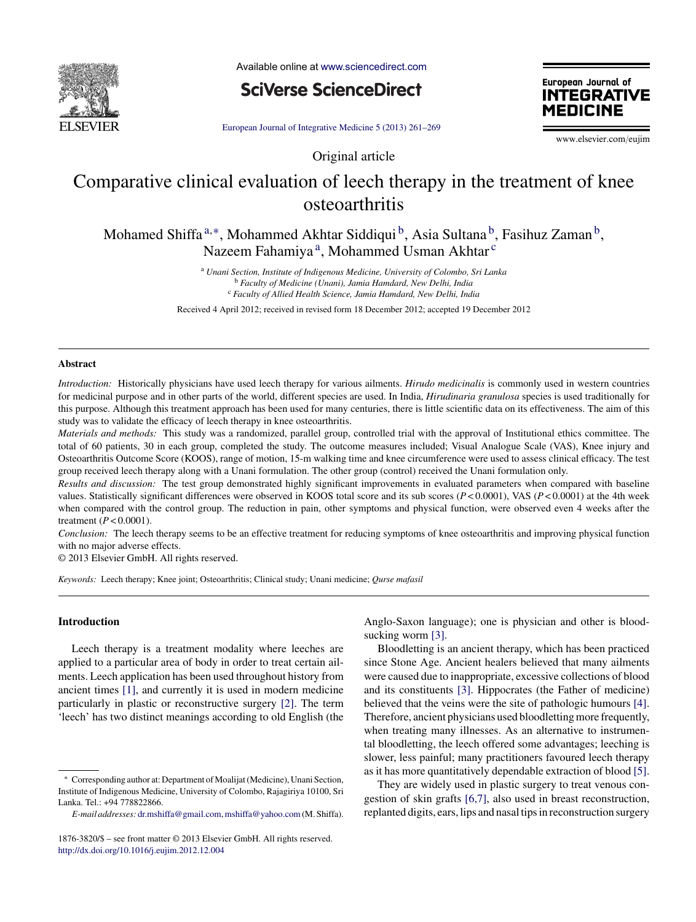

Available online at [www.sciencedirect.com](http://www.sciencedirect.com/science/journal/18763820)

**SciVerse ScienceDirect** 

European Journal of **INTEGRATIVE MEDICINE** 

European Journal of [Integrative](dx.doi.org/10.1016/j.eujim.2012.12.004) Medicine 5 (2013) 261–269

www.elsevier.com/eujim

# Comparative clinical evaluation of leech therapy in the treatment of knee osteoarthritis

Original article

Mohamed Shiffa<sup>a,∗</sup>, Mohammed Akhtar Siddiqui<sup>b</sup>, Asia Sultana<sup>b</sup>, Fasihuz Zaman<sup>b</sup>, Nazeem Fahamiya<sup>a</sup>, Mohammed Usman Akhtar<sup>c</sup>

> <sup>a</sup> *Unani Section, Institute of Indigenous Medicine, University of Colombo, Sri Lanka* <sup>b</sup> *Faculty of Medicine (Unani), Jamia Hamdard, New Delhi, India* <sup>c</sup> *Faculty of Allied Health Science, Jamia Hamdard, New Delhi, India*

Received 4 April 2012; received in revised form 18 December 2012; accepted 19 December 2012

## **Abstract**

*Introduction:* Historically physicians have used leech therapy for various ailments. *Hirudo medicinalis* is commonly used in western countries for medicinal purpose and in other parts of the world, different species are used. In India, *Hirudinaria granulosa* species is used traditionally for this purpose. Although this treatment approach has been used for many centuries, there is little scientific data on its effectiveness. The aim of this study was to validate the efficacy of leech therapy in knee osteoarthritis.

*Materials and methods:* This study was a randomized, parallel group, controlled trial with the approval of Institutional ethics committee. The total of 60 patients, 30 in each group, completed the study. The outcome measures included; Visual Analogue Scale (VAS), Knee injury and Osteoarthritis Outcome Score (KOOS), range of motion, 15-m walking time and knee circumference were used to assess clinical efficacy. The test group received leech therapy along with a Unani formulation. The other group (control) received the Unani formulation only.

*Results and discussion:* The test group demonstrated highly significant improvements in evaluated parameters when compared with baseline values. Statistically significant differences were observed in KOOS total score and its sub scores (*P* < 0.0001), VAS (*P* < 0.0001) at the 4th week when compared with the control group. The reduction in pain, other symptoms and physical function, were observed even 4 weeks after the treatment (*P* < 0.0001).

*Conclusion:* The leech therapy seems to be an effective treatment for reducing symptoms of knee osteoarthritis and improving physical function with no major adverse effects.

© 2013 Elsevier GmbH. All rights reserved.

*Keywords:* Leech therapy; Knee joint; Osteoarthritis; Clinical study; Unani medicine; *Qurse mafasil*

# **Introduction**

Leech therapy is a treatment modality where leeches are applied to a particular area of body in order to treat certain ailments. Leech application has been used throughout history from ancient times [\[1\],](#page-7-0) and currently it is used in modern medicine particularly in plastic or reconstructive surgery [\[2\].](#page-7-0) The term 'leech' has two distinct meanings according to old English (the Anglo-Saxon language); one is physician and other is blood-sucking worm [\[3\].](#page-7-0)

Bloodletting is an ancient therapy, which has been practiced since Stone Age. Ancient healers believed that many ailments were caused due to inappropriate, excessive collections of blood and its constituents [\[3\].](#page-7-0) Hippocrates (the Father of medicine) believed that the veins were the site of pathologic humours [\[4\].](#page-7-0) Therefore, ancient physicians used bloodletting more frequently, when treating many illnesses. As an alternative to instrumental bloodletting, the leech offered some advantages; leeching is slower, less painful; many practitioners favoured leech therapy as it has more quantitatively dependable extraction of blood [\[5\].](#page-7-0)

They are widely used in plastic surgery to treat venous congestion of skin grafts [\[6,7\],](#page-7-0) also used in breast reconstruction, replanted digits, ears, lips and nasal tips in reconstruction surgery

<sup>∗</sup> Corresponding author at: Department ofMoalijat(Medicine), Unani Section, Institute of Indigenous Medicine, University of Colombo, Rajagiriya 10100, Sri Lanka. Tel.: +94 778822866.

*E-mail addresses:* [dr.mshiffa@gmail.com](mailto:dr.mshiffa@gmail.com),[mshiffa@yahoo.com](mailto:mshiffa@yahoo.com)(M. Shiffa).

<sup>1876-3820/\$</sup> – see front matter © 2013 Elsevier GmbH. All rights reserved. [http://dx.doi.org/10.1016/j.eujim.2012.12.004](dx.doi.org/10.1016/j.eujim.2012.12.004)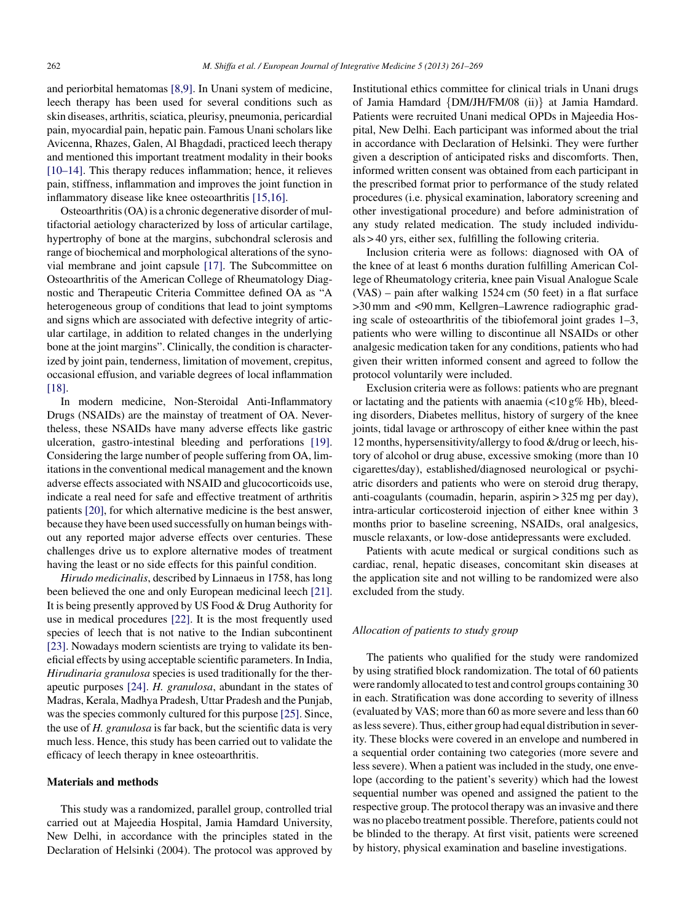and periorbital hematomas [\[8,9\].](#page-7-0) In Unani system of medicine, leech therapy has been used for several conditions such as skin diseases, arthritis, sciatica, pleurisy, pneumonia, pericardial pain, myocardial pain, hepatic pain. Famous Unani scholars like Avicenna, Rhazes, Galen, Al Bhagdadi, practiced leech therapy and mentioned this important treatment modality in their books [\[10–14\].](#page-7-0) This therapy reduces inflammation; hence, it relieves pain, stiffness, inflammation and improves the joint function in inflammatory disease like knee osteoarthritis [\[15,16\].](#page-7-0)

Osteoarthritis (OA) is a chronic degenerative disorder of multifactorial aetiology characterized by loss of articular cartilage, hypertrophy of bone at the margins, subchondral sclerosis and range of biochemical and morphological alterations of the synovial membrane and joint capsule [\[17\].](#page-7-0) The Subcommittee on Osteoarthritis of the American College of Rheumatology Diagnostic and Therapeutic Criteria Committee defined OA as "A heterogeneous group of conditions that lead to joint symptoms and signs which are associated with defective integrity of articular cartilage, in addition to related changes in the underlying bone at the joint margins". Clinically, the condition is characterized by joint pain, tenderness, limitation of movement, crepitus, occasional effusion, and variable degrees of local inflammation [\[18\].](#page-7-0)

In modern medicine, Non-Steroidal Anti-Inflammatory Drugs (NSAIDs) are the mainstay of treatment of OA. Nevertheless, these NSAIDs have many adverse effects like gastric ulceration, gastro-intestinal bleeding and perforations [\[19\].](#page-7-0) Considering the large number of people suffering from OA, limitations in the conventional medical management and the known adverse effects associated with NSAID and glucocorticoids use, indicate a real need for safe and effective treatment of arthritis patients [\[20\],](#page-7-0) for which alternative medicine is the best answer, because they have been used successfully on human beings without any reported major adverse effects over centuries. These challenges drive us to explore alternative modes of treatment having the least or no side effects for this painful condition.

*Hirudo medicinalis*, described by Linnaeus in 1758, has long been believed the one and only European medicinal leech [\[21\].](#page-7-0) It is being presently approved by US Food & Drug Authority for use in medical procedures [\[22\].](#page-7-0) It is the most frequently used species of leech that is not native to the Indian subcontinent [\[23\].](#page-7-0) Nowadays modern scientists are trying to validate its beneficial effects by using acceptable scientific parameters. In India, *Hirudinaria granulosa* species is used traditionally for the therapeutic purposes [\[24\].](#page-7-0) *H. granulosa*, abundant in the states of Madras, Kerala, Madhya Pradesh, Uttar Pradesh and the Punjab, was the species commonly cultured for this purpose [\[25\].](#page-7-0) Since, the use of *H. granulosa* is far back, but the scientific data is very much less. Hence, this study has been carried out to validate the efficacy of leech therapy in knee osteoarthritis.

## **Materials and methods**

This study was a randomized, parallel group, controlled trial carried out at Majeedia Hospital, Jamia Hamdard University, New Delhi, in accordance with the principles stated in the Declaration of Helsinki (2004). The protocol was approved by

Institutional ethics committee for clinical trials in Unani drugs of Jamia Hamdard {DM/JH/FM/08 (ii)} at Jamia Hamdard. Patients were recruited Unani medical OPDs in Majeedia Hospital, New Delhi. Each participant was informed about the trial in accordance with Declaration of Helsinki. They were further given a description of anticipated risks and discomforts. Then, informed written consent was obtained from each participant in the prescribed format prior to performance of the study related procedures (i.e. physical examination, laboratory screening and other investigational procedure) and before administration of any study related medication. The study included individuals > 40 yrs, either sex, fulfilling the following criteria.

Inclusion criteria were as follows: diagnosed with OA of the knee of at least 6 months duration fulfilling American College of Rheumatology criteria, knee pain Visual Analogue Scale (VAS) – pain after walking 1524 cm (50 feet) in a flat surface >30 mm and <90 mm, Kellgren–Lawrence radiographic grading scale of osteoarthritis of the tibiofemoral joint grades 1–3, patients who were willing to discontinue all NSAIDs or other analgesic medication taken for any conditions, patients who had given their written informed consent and agreed to follow the protocol voluntarily were included.

Exclusion criteria were as follows: patients who are pregnant or lactating and the patients with anaemia  $\left($ <10 g% Hb), bleeding disorders, Diabetes mellitus, history of surgery of the knee joints, tidal lavage or arthroscopy of either knee within the past 12 months, hypersensitivity/allergy to food &/drug or leech, history of alcohol or drug abuse, excessive smoking (more than 10 cigarettes/day), established/diagnosed neurological or psychiatric disorders and patients who were on steroid drug therapy, anti-coagulants (coumadin, heparin, aspirin > 325 mg per day), intra-articular corticosteroid injection of either knee within 3 months prior to baseline screening, NSAIDs, oral analgesics, muscle relaxants, or low-dose antidepressants were excluded.

Patients with acute medical or surgical conditions such as cardiac, renal, hepatic diseases, concomitant skin diseases at the application site and not willing to be randomized were also excluded from the study.

# *Allocation of patients to study group*

The patients who qualified for the study were randomized by using stratified block randomization. The total of 60 patients were randomly allocated to test and control groups containing 30 in each. Stratification was done according to severity of illness (evaluated by VAS; more than 60 as more severe and lessthan 60 aslesssevere). Thus, either group had equal distribution in severity. These blocks were covered in an envelope and numbered in a sequential order containing two categories (more severe and less severe). When a patient was included in the study, one envelope (according to the patient's severity) which had the lowest sequential number was opened and assigned the patient to the respective group. The protocol therapy was an invasive and there was no placebo treatment possible. Therefore, patients could not be blinded to the therapy. At first visit, patients were screened by history, physical examination and baseline investigations.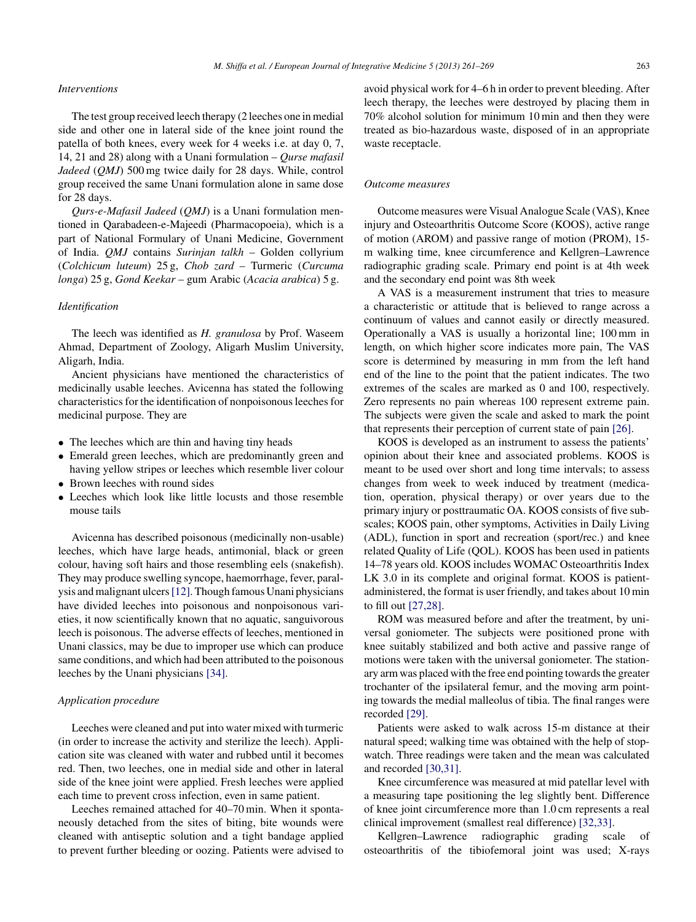# *Interventions*

The test group received leech therapy (2 leeches one in medial side and other one in lateral side of the knee joint round the patella of both knees, every week for 4 weeks i.e. at day 0, 7, 14, 21 and 28) along with a Unani formulation – *Qurse mafasil Jadeed* (*QMJ*) 500 mg twice daily for 28 days. While, control group received the same Unani formulation alone in same dose for 28 days.

*Qurs-e-Mafasil Jadeed* (*QMJ*) is a Unani formulation mentioned in Qarabadeen-e-Majeedi (Pharmacopoeia), which is a part of National Formulary of Unani Medicine, Government of India. *QMJ* contains *Surinjan talkh* – Golden collyrium (*Colchicum luteum*) 25 g, *Chob zard* – Turmeric (*Curcuma longa*) 25 g, *Gond Keekar* – gum Arabic (*Acacia arabica*) 5 g.

## *Identification*

The leech was identified as *H. granulosa* by Prof. Waseem Ahmad, Department of Zoology, Aligarh Muslim University, Aligarh, India.

Ancient physicians have mentioned the characteristics of medicinally usable leeches. Avicenna has stated the following characteristics for the identification of nonpoisonous leeches for medicinal purpose. They are

- The leeches which are thin and having tiny heads
- Emerald green leeches, which are predominantly green and having yellow stripes or leeches which resemble liver colour
- Brown leeches with round sides
- Leeches which look like little locusts and those resemble mouse tails

Avicenna has described poisonous (medicinally non-usable) leeches, which have large heads, antimonial, black or green colour, having soft hairs and those resembling eels (snakefish). They may produce swelling syncope, haemorrhage, fever, paralysis andmalignant ulcers[\[12\].T](#page-7-0)hough famous Unani physicians have divided leeches into poisonous and nonpoisonous varieties, it now scientifically known that no aquatic, sanguivorous leech is poisonous. The adverse effects of leeches, mentioned in Unani classics, may be due to improper use which can produce same conditions, and which had been attributed to the poisonous leeches by the Unani physicians [\[34\].](#page-7-0)

#### *Application procedure*

Leeches were cleaned and put into water mixed with turmeric (in order to increase the activity and sterilize the leech). Application site was cleaned with water and rubbed until it becomes red. Then, two leeches, one in medial side and other in lateral side of the knee joint were applied. Fresh leeches were applied each time to prevent cross infection, even in same patient.

Leeches remained attached for 40–70 min. When it spontaneously detached from the sites of biting, bite wounds were cleaned with antiseptic solution and a tight bandage applied to prevent further bleeding or oozing. Patients were advised to

avoid physical work for 4–6 h in order to prevent bleeding. After leech therapy, the leeches were destroyed by placing them in 70% alcohol solution for minimum 10 min and then they were treated as bio-hazardous waste, disposed of in an appropriate waste receptacle.

### *Outcome measures*

Outcome measures were Visual Analogue Scale (VAS), Knee injury and Osteoarthritis Outcome Score (KOOS), active range of motion (AROM) and passive range of motion (PROM), 15 m walking time, knee circumference and Kellgren–Lawrence radiographic grading scale. Primary end point is at 4th week and the secondary end point was 8th week

A VAS is a measurement instrument that tries to measure a characteristic or attitude that is believed to range across a continuum of values and cannot easily or directly measured. Operationally a VAS is usually a horizontal line; 100 mm in length, on which higher score indicates more pain, The VAS score is determined by measuring in mm from the left hand end of the line to the point that the patient indicates. The two extremes of the scales are marked as 0 and 100, respectively. Zero represents no pain whereas 100 represent extreme pain. The subjects were given the scale and asked to mark the point that represents their perception of current state of pain [\[26\].](#page-7-0)

KOOS is developed as an instrument to assess the patients' opinion about their knee and associated problems. KOOS is meant to be used over short and long time intervals; to assess changes from week to week induced by treatment (medication, operation, physical therapy) or over years due to the primary injury or posttraumatic OA. KOOS consists of five subscales; KOOS pain, other symptoms, Activities in Daily Living (ADL), function in sport and recreation (sport/rec.) and knee related Quality of Life (QOL). KOOS has been used in patients 14–78 years old. KOOS includes WOMAC Osteoarthritis Index LK 3.0 in its complete and original format. KOOS is patientadministered, the format is user friendly, and takes about 10 min to fill out [\[27,28\].](#page-7-0)

ROM was measured before and after the treatment, by universal goniometer. The subjects were positioned prone with knee suitably stabilized and both active and passive range of motions were taken with the universal goniometer. The stationary arm was placed with the free end pointing towards the greater trochanter of the ipsilateral femur, and the moving arm pointing towards the medial malleolus of tibia. The final ranges were recorded [\[29\].](#page-7-0)

Patients were asked to walk across 15-m distance at their natural speed; walking time was obtained with the help of stopwatch. Three readings were taken and the mean was calculated and recorded [\[30,31\].](#page-7-0)

Knee circumference was measured at mid patellar level with a measuring tape positioning the leg slightly bent. Difference of knee joint circumference more than 1.0 cm represents a real clinical improvement (smallest real difference) [\[32,33\].](#page-7-0)

Kellgren–Lawrence radiographic grading scale of osteoarthritis of the tibiofemoral joint was used; X-rays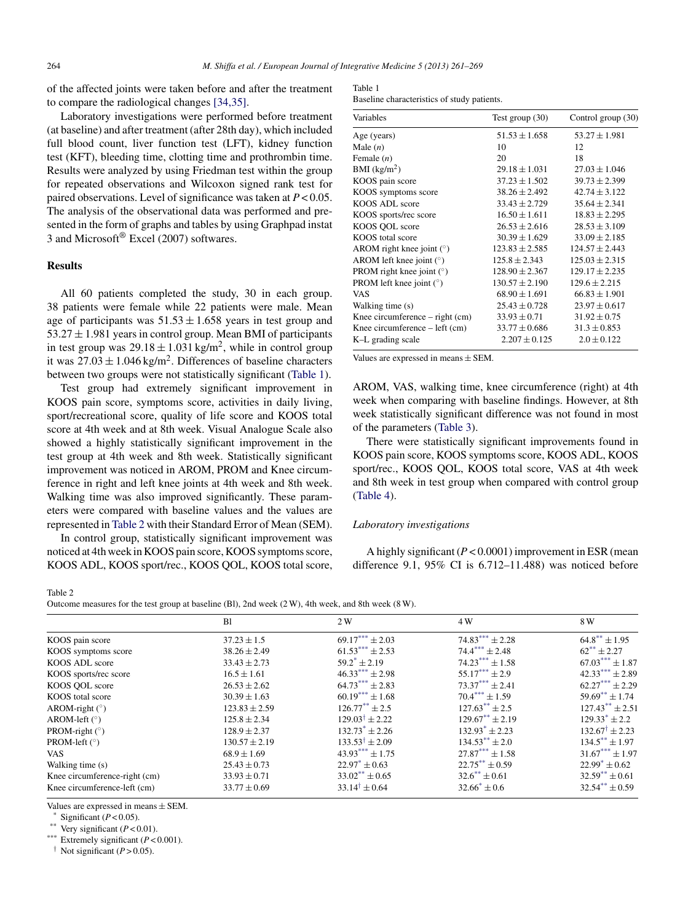of the affected joints were taken before and after the treatment to compare the radiological changes [\[34,35\].](#page-7-0)

Laboratory investigations were performed before treatment (at baseline) and after treatment (after 28th day), which included full blood count, liver function test (LFT), kidney function test (KFT), bleeding time, clotting time and prothrombin time. Results were analyzed by using Friedman test within the group for repeated observations and Wilcoxon signed rank test for paired observations. Level of significance was taken at *P* < 0.05. The analysis of the observational data was performed and presented in the form of graphs and tables by using Graphpad instat 3 and Microsoft® Excel (2007) softwares.

# **Results**

All 60 patients completed the study, 30 in each group. 38 patients were female while 22 patients were male. Mean age of participants was  $51.53 \pm 1.658$  years in test group and  $53.27 \pm 1.981$  years in control group. Mean BMI of participants in test group was  $29.18 \pm 1.031$  kg/m<sup>2</sup>, while in control group it was  $27.03 \pm 1.046$  kg/m<sup>2</sup>. Differences of baseline characters between two groups were not statistically significant (Table 1).

Test group had extremely significant improvement in KOOS pain score, symptoms score, activities in daily living, sport/recreational score, quality of life score and KOOS total score at 4th week and at 8th week. Visual Analogue Scale also showed a highly statistically significant improvement in the test group at 4th week and 8th week. Statistically significant improvement was noticed in AROM, PROM and Knee circumference in right and left knee joints at 4th week and 8th week. Walking time was also improved significantly. These parameters were compared with baseline values and the values are represented in Table 2 with their Standard Error of Mean (SEM).

In control group, statistically significant improvement was noticed at 4th week in KOOS pain score, KOOS symptoms score, KOOS ADL, KOOS sport/rec., KOOS QOL, KOOS total score,

| Table 1                                     |  |
|---------------------------------------------|--|
| Baseline characteristics of study patients. |  |

| Variables                                                       | Test group $(30)$  | Control group (30) |  |
|-----------------------------------------------------------------|--------------------|--------------------|--|
| Age (years)                                                     | $51.53 \pm 1.658$  | $53.27 \pm 1.981$  |  |
| Male $(n)$                                                      | 10                 | 12                 |  |
| Female $(n)$                                                    | 20                 | 18                 |  |
| $BMI$ (kg/m <sup>2</sup> )                                      | $29.18 \pm 1.031$  | $27.03 \pm 1.046$  |  |
| KOOS pain score                                                 | $37.23 \pm 1.502$  | $39.73 \pm 2.399$  |  |
| KOOS symptoms score                                             | $38.26 \pm 2.492$  | $42.74 \pm 3.122$  |  |
| KOOS ADL score                                                  | $33.43 \pm 2.729$  | $35.64 \pm 2.341$  |  |
| KOOS sports/rec score                                           | $16.50 \pm 1.611$  | $18.83 \pm 2.295$  |  |
| KOOS QOL score                                                  | $26.53 \pm 2.616$  | $28.53 \pm 3.109$  |  |
| KOOS total score                                                | $30.39 \pm 1.629$  | $33.09 \pm 2.185$  |  |
| AROM right knee joint $(°)$                                     | $123.83 \pm 2.585$ | $124.57 \pm 2.443$ |  |
| AROM left knee joint $(°)$                                      | $125.8 \pm 2.343$  | $125.03 \pm 2.315$ |  |
| PROM right knee joint $(°)$                                     | $128.90 \pm 2.367$ | $129.17 \pm 2.235$ |  |
| PROM left knee joint $(°)$                                      | $130.57 \pm 2.190$ | $129.6 \pm 2.215$  |  |
| <b>VAS</b>                                                      | $68.90 \pm 1.691$  | $66.83 \pm 1.901$  |  |
| Walking time (s)                                                | $25.43 \pm 0.728$  | $23.97 \pm 0.617$  |  |
| Knee circumference $-$ right (cm)                               | $33.93 \pm 0.71$   | $31.92 \pm 0.75$   |  |
| Knee circumference $-\left\{ \text{left ( cm} \right) \right\}$ | $33.77 \pm 0.686$  | $31.3 \pm 0.853$   |  |
| K-L grading scale                                               | $2.207 \pm 0.125$  | $2.0 \pm 0.122$    |  |

Values are expressed in means ± SEM.

AROM, VAS, walking time, knee circumference (right) at 4th week when comparing with baseline findings. However, at 8th week statistically significant difference was not found in most of the parameters ([Table](#page-4-0) 3).

There were statistically significant improvements found in KOOS pain score, KOOS symptoms score, KOOS ADL, KOOS sport/rec., KOOS QOL, KOOS total score, VAS at 4th week and 8th week in test group when compared with control group [\(Table](#page-4-0) 4).

### *Laboratory investigations*

A highly significant (*P* < 0.0001) improvement in ESR (mean difference 9.1, 95% CI is 6.712–11.488) was noticed before

Table 2

Outcome measures for the test group at baseline (Bl), 2nd week (2 W), 4th week, and 8th week (8 W).

|                               | B1                | 2W                          | 4 W                        | 8 W                        |
|-------------------------------|-------------------|-----------------------------|----------------------------|----------------------------|
| KOOS pain score               | $37.23 \pm 1.5$   | $69.17***\pm 2.03$          | $74.83***$ + 2.28          | $64.8^{\ast\ast} \pm 1.95$ |
| KOOS symptoms score           | $38.26 \pm 2.49$  | $61.53***\pm 2.53$          | $74.4***+2.48$             | $62^{**} + 2.27$           |
| KOOS ADL score                | $33.43 \pm 2.73$  | $59.2^* + 2.19$             | $74.23*** + 1.58$          | $67.03*** + 1.87$          |
| KOOS sports/rec score         | $16.5 \pm 1.61$   | $46.33***\pm 2.98$          | $55.17***$ ± 2.9           | $42.33***$ ± 2.89          |
| KOOS QOL score                | $26.53 \pm 2.62$  | $64.73***$ + 2.83           | $73.37***$ + 2.41          | $62.27***$ + 2.29          |
| KOOS total score              | $30.39 \pm 1.63$  | $60.19***\pm1.68$           | $70.4*** + 1.59$           | $59.69** \pm 1.74$         |
| AROM-right $(°)$              | $123.83 \pm 2.59$ | $126.77^{\ast\ast} \pm 2.5$ | $127.63^{**} + 2.5$        | $127.43^{**} + 2.51$       |
| AROM-left $(°)$               | $125.8 \pm 2.34$  | $129.03^{\dagger} + 2.22$   | $129.67^{\ast\ast}$ + 2.19 | $129.33^* + 2.2$           |
| PROM-right $(°)$              | $128.9 \pm 2.37$  | $132.73^* + 2.26$           | $132.93^* + 2.23$          | $132.67^{\dagger} + 2.23$  |
| PROM-left $(°)$               | $130.57 \pm 2.19$ | $133.53^{\dagger} + 2.09$   | $134.53^{**} + 2.0$        | $134.5^{\ast\ast} + 1.97$  |
| VAS.                          | $68.9 \pm 1.69$   | $43.93***$ $\pm 1.75$       | $27.87***$ + 1.58          | $31.67***\pm1.97$          |
| Walking time (s)              | $25.43 \pm 0.73$  | $22.97^* \pm 0.63$          | $22.75** \pm 0.59$         | $22.99^* \pm 0.62$         |
| Knee circumference-right (cm) | $33.93 \pm 0.71$  | $33.02^{**}$ + 0.65         | $32.6^{\ast\ast} \pm 0.61$ | $32.59^{**} \pm 0.61$      |
| Knee circumference-left (cm)  | $33.77 \pm 0.69$  | $33.14^{\dagger} \pm 0.64$  | $32.66^* \pm 0.6$          | $32.54** \pm 0.59$         |

Values are expressed in means  $\pm$  SEM.<br>\* Significant ( $P < 0.05$ ).

Very significant  $(P < 0.01)$ .

\*\*\* Extremely significant (*P* < 0.001).

<sup>†</sup> Not significant  $(P > 0.05)$ .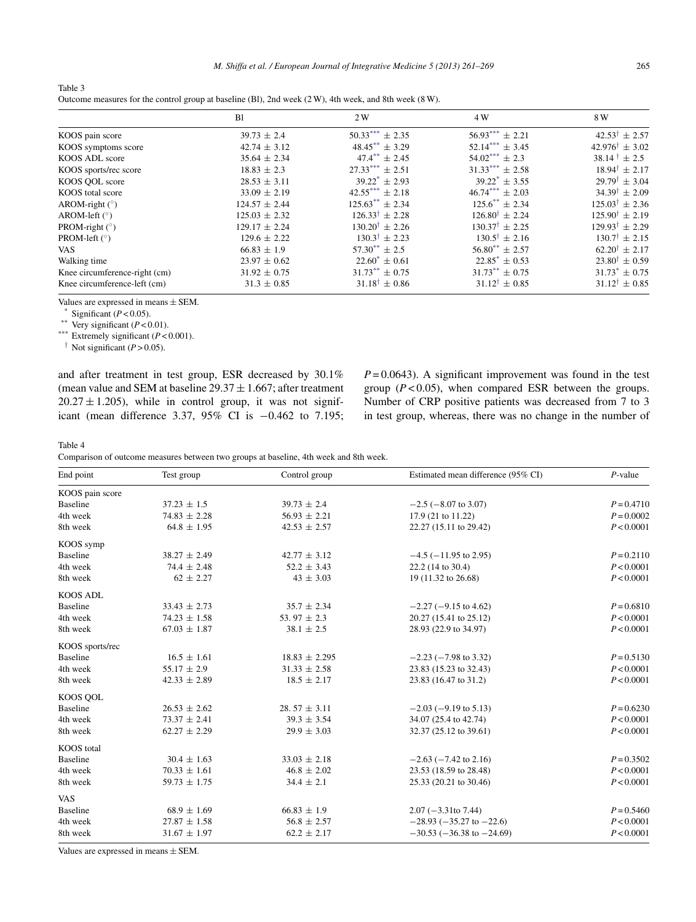*M. Shiffa et al. / European Journal of Integrative Medicine 5 (2013) 261–269* 265

<span id="page-4-0"></span>

| Table 3                                                                                                      |  |
|--------------------------------------------------------------------------------------------------------------|--|
| Outcome measures for the control group at baseline (Bl), 2nd week $(2 W)$ , 4th week, and 8th week $(8 W)$ . |  |

|                               | B <sub>1</sub>    | 2 W                         | 4 W                         | 8 W                         |
|-------------------------------|-------------------|-----------------------------|-----------------------------|-----------------------------|
| KOOS pain score               | $39.73 \pm 2.4$   | $50.33***$ ± 2.35           | $56.93***$ + 2.21           | $42.53^{\dagger} \pm 2.57$  |
| KOOS symptoms score           | $42.74 \pm 3.12$  | $48.45***\pm3.29$           | $52.14***$ + 3.45           | $42.976^{\dagger} + 3.02$   |
| KOOS ADL score                | $35.64 \pm 2.34$  | $47.4^{**} \pm 2.45$        | $54.02***$ ± 2.3            | $38.14^{\dagger} \pm 2.5$   |
| KOOS sports/rec score         | $18.83 \pm 2.3$   | $27.33***$ + 2.51           | $31.33***$ ± 2.58           | $18.94^{\dagger} \pm 2.17$  |
| KOOS QOL score                | $28.53 \pm 3.11$  | $39.22^* \pm 2.93$          | $39.22^* \pm 3.55$          | $29.79^{\dagger} \pm 3.04$  |
| KOOS total score              | $33.09 \pm 2.19$  | $42.55***$ ± 2.18           | $46.74***$ + 2.03           | $34.39^{\dagger} + 2.09$    |
| AROM-right $(°)$              | $124.57 \pm 2.44$ | $125.63***$ ± 2.34          | $125.6^{**} \pm 2.34$       | $125.03^{\dagger} \pm 2.36$ |
| AROM-left $(°)$               | $125.03 \pm 2.32$ | $126.33^{\dagger} \pm 2.28$ | $126.80^{\dagger} \pm 2.24$ | $125.90^{\dagger} + 2.19$   |
| PROM-right $(°)$              | $129.17 \pm 2.24$ | $130.20^{\dagger} + 2.26$   | $130.37^{\dagger} \pm 2.25$ | $129.93^{\dagger} + 2.29$   |
| PROM-left $(°)$               | $129.6 \pm 2.22$  | $130.3^{\dagger} + 2.23$    | $130.5^{\dagger} \pm 2.16$  | $130.7^{\dagger} \pm 2.15$  |
| <b>VAS</b>                    | $66.83 \pm 1.9$   | $57.30^{**} + 2.5$          | $56.80^{**} + 2.57$         | $62.20^{\dagger} \pm 2.17$  |
| Walking time                  | $23.97 \pm 0.62$  | $22.60^* \pm 0.61$          | $22.85^* + 0.53$            | $23.80^{\dagger} + 0.59$    |
| Knee circumference-right (cm) | $31.92 \pm 0.75$  | $31.73** + 0.75$            | $31.73^{**} + 0.75$         | $31.73^* \pm 0.75$          |
| Knee circumference-left (cm)  | $31.3 \pm 0.85$   | $31.18^{\dagger} \pm 0.86$  | $31.12^{\dagger} \pm 0.85$  | $31.12^{\dagger} \pm 0.85$  |

Values are expressed in means  $\pm$  SEM.<br>\* Significant ( $P < 0.05$ ).

Very significant  $(P < 0.01)$ .

\*\*\* Extremely significant (*P* < 0.001).

<sup> $\dagger$ </sup> Not significant ( $P > 0.05$ ).

and after treatment in test group, ESR decreased by 30.1% (mean value and SEM at baseline  $29.37 \pm 1.667$ ; after treatment  $20.27 \pm 1.205$ , while in control group, it was not significant (mean difference 3.37, 95% CI is −0.462 to 7.195;  $P = 0.0643$ . A significant improvement was found in the test group  $(P<0.05)$ , when compared ESR between the groups. Number of CRP positive patients was decreased from 7 to 3 in test group, whereas, there was no change in the number of

Table 4

Comparison of outcome measures between two groups at baseline, 4th week and 8th week.

| End point         | Test group       | Control group     | Estimated mean difference (95% CI) | $P$ -value   |
|-------------------|------------------|-------------------|------------------------------------|--------------|
| KOOS pain score   |                  |                   |                                    |              |
| <b>Baseline</b>   | $37.23 \pm 1.5$  | $39.73 \pm 2.4$   | $-2.5$ ( $-8.07$ to 3.07)          | $P = 0.4710$ |
| 4th week          | $74.83 \pm 2.28$ | $56.93 \pm 2.21$  | 17.9 (21 to 11.22)                 | $P = 0.0002$ |
| 8th week          | $64.8 \pm 1.95$  | $42.53 \pm 2.57$  | 22.27 (15.11 to 29.42)             | P < 0.0001   |
| KOOS symp         |                  |                   |                                    |              |
| <b>Baseline</b>   | $38.27 \pm 2.49$ | $42.77 \pm 3.12$  | $-4.5$ ( $-11.95$ to 2.95)         | $P = 0.2110$ |
| 4th week          | $74.4 \pm 2.48$  | $52.2 \pm 3.43$   | 22.2 (14 to 30.4)                  | P < 0.0001   |
| 8th week          | $62 \pm 2.27$    | $43 \pm 3.03$     | 19 (11.32 to 26.68)                | P < 0.0001   |
| <b>KOOS ADL</b>   |                  |                   |                                    |              |
| <b>Baseline</b>   | $33.43 \pm 2.73$ | $35.7 \pm 2.34$   | $-2.27$ ( $-9.15$ to 4.62)         | $P = 0.6810$ |
| 4th week          | $74.23 \pm 1.58$ | 53.97 $\pm$ 2.3   | 20.27 (15.41 to 25.12)             | P < 0.0001   |
| 8th week          | $67.03 \pm 1.87$ | $38.1 \pm 2.5$    | 28.93 (22.9 to 34.97)              | P < 0.0001   |
| KOOS sports/rec   |                  |                   |                                    |              |
| <b>Baseline</b>   | $16.5 \pm 1.61$  | $18.83 \pm 2.295$ | $-2.23$ ( $-7.98$ to 3.32)         | $P = 0.5130$ |
| 4th week          | $55.17 \pm 2.9$  | $31.33 \pm 2.58$  | 23.83 (15.23 to 32.43)             | P < 0.0001   |
| 8th week          | $42.33 \pm 2.89$ | $18.5 \pm 2.17$   | 23.83 (16.47 to 31.2)              | P < 0.0001   |
| KOOS QOL          |                  |                   |                                    |              |
| <b>Baseline</b>   | $26.53 \pm 2.62$ | 28.57 $\pm$ 3.11  | $-2.03$ ( $-9.19$ to 5.13)         | $P = 0.6230$ |
| 4th week          | $73.37 \pm 2.41$ | $39.3 \pm 3.54$   | 34.07 (25.4 to 42.74)              | P < 0.0001   |
| 8th week          | $62.27 \pm 2.29$ | $29.9 \pm 3.03$   | 32.37 (25.12 to 39.61)             | P < 0.0001   |
| <b>KOOS</b> total |                  |                   |                                    |              |
| <b>Baseline</b>   | $30.4 \pm 1.63$  | $33.03 \pm 2.18$  | $-2.63$ ( $-7.42$ to 2.16)         | $P = 0.3502$ |
| 4th week          | $70.33 \pm 1.61$ | $46.8 \pm 2.02$   | 23.53 (18.59 to 28.48)             | P < 0.0001   |
| 8th week          | $59.73 \pm 1.75$ | $34.4 \pm 2.1$    | 25.33 (20.21 to 30.46)             | P < 0.0001   |
| <b>VAS</b>        |                  |                   |                                    |              |
| <b>Baseline</b>   | $68.9 \pm 1.69$  | $66.83 \pm 1.9$   | $2.07 (-3.31)$ to 7.44)            | $P = 0.5460$ |
| 4th week          | $27.87 \pm 1.58$ | $56.8 \pm 2.57$   | $-28.93(-35.27 \text{ to } -22.6)$ | P < 0.0001   |
| 8th week          | $31.67 \pm 1.97$ | $62.2 \pm 2.17$   | $-30.53$ ( $-36.38$ to $-24.69$ )  | P < 0.0001   |

Values are expressed in means ± SEM.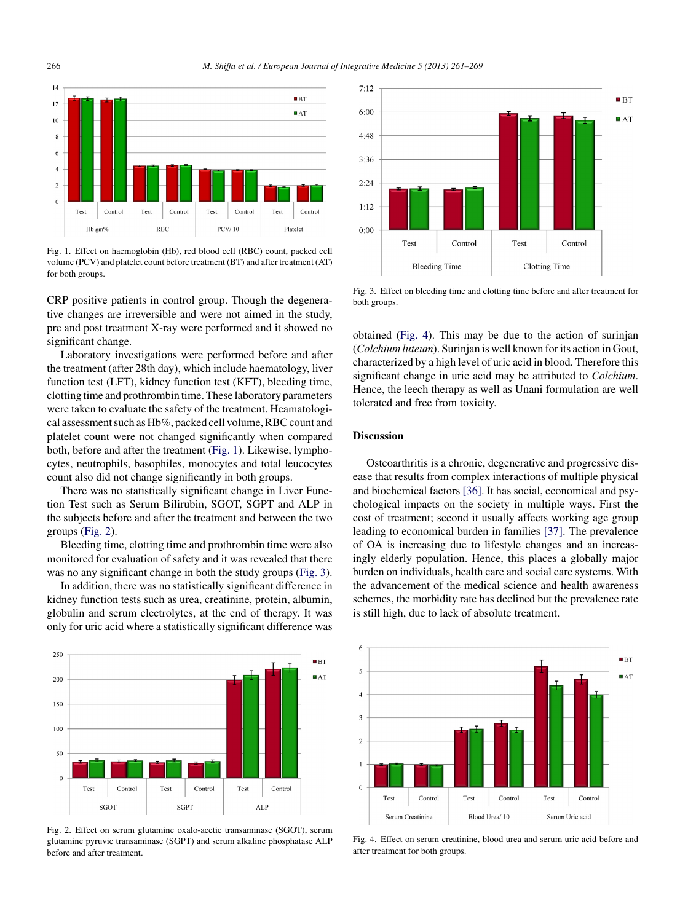

Fig. 1. Effect on haemoglobin (Hb), red blood cell (RBC) count, packed cell volume (PCV) and platelet count before treatment (BT) and after treatment (AT) for both groups.

CRP positive patients in control group. Though the degenerative changes are irreversible and were not aimed in the study, pre and post treatment X-ray were performed and it showed no significant change.

Laboratory investigations were performed before and after the treatment (after 28th day), which include haematology, liver function test (LFT), kidney function test (KFT), bleeding time, clotting time and prothrombin time.These laboratory parameters were taken to evaluate the safety of the treatment. Heamatological assessment such as Hb%, packed cell volume, RBC count and platelet count were not changed significantly when compared both, before and after the treatment (Fig. 1). Likewise, lymphocytes, neutrophils, basophiles, monocytes and total leucocytes count also did not change significantly in both groups.

There was no statistically significant change in Liver Function Test such as Serum Bilirubin, SGOT, SGPT and ALP in the subjects before and after the treatment and between the two groups (Fig. 2).

Bleeding time, clotting time and prothrombin time were also monitored for evaluation of safety and it was revealed that there was no any significant change in both the study groups (Fig. 3).

In addition, there was no statistically significant difference in kidney function tests such as urea, creatinine, protein, albumin, globulin and serum electrolytes, at the end of therapy. It was only for uric acid where a statistically significant difference was



Fig. 2. Effect on serum glutamine oxalo-acetic transaminase (SGOT), serum glutamine pyruvic transaminase (SGPT) and serum alkaline phosphatase ALP before and after treatment.



Fig. 3. Effect on bleeding time and clotting time before and after treatment for both groups.

obtained (Fig. 4). This may be due to the action of surinjan (*Colchium luteum*). Surinjan is well known forits action in Gout, characterized by a high level of uric acid in blood. Therefore this significant change in uric acid may be attributed to *Colchium*. Hence, the leech therapy as well as Unani formulation are well tolerated and free from toxicity.

# **Discussion**

Osteoarthritis is a chronic, degenerative and progressive disease that results from complex interactions of multiple physical and biochemical factors [\[36\].](#page-7-0) It has social, economical and psychological impacts on the society in multiple ways. First the cost of treatment; second it usually affects working age group leading to economical burden in families [\[37\].](#page-7-0) The prevalence of OA is increasing due to lifestyle changes and an increasingly elderly population. Hence, this places a globally major burden on individuals, health care and social care systems. With the advancement of the medical science and health awareness schemes, the morbidity rate has declined but the prevalence rate is still high, due to lack of absolute treatment.



Fig. 4. Effect on serum creatinine, blood urea and serum uric acid before and after treatment for both groups.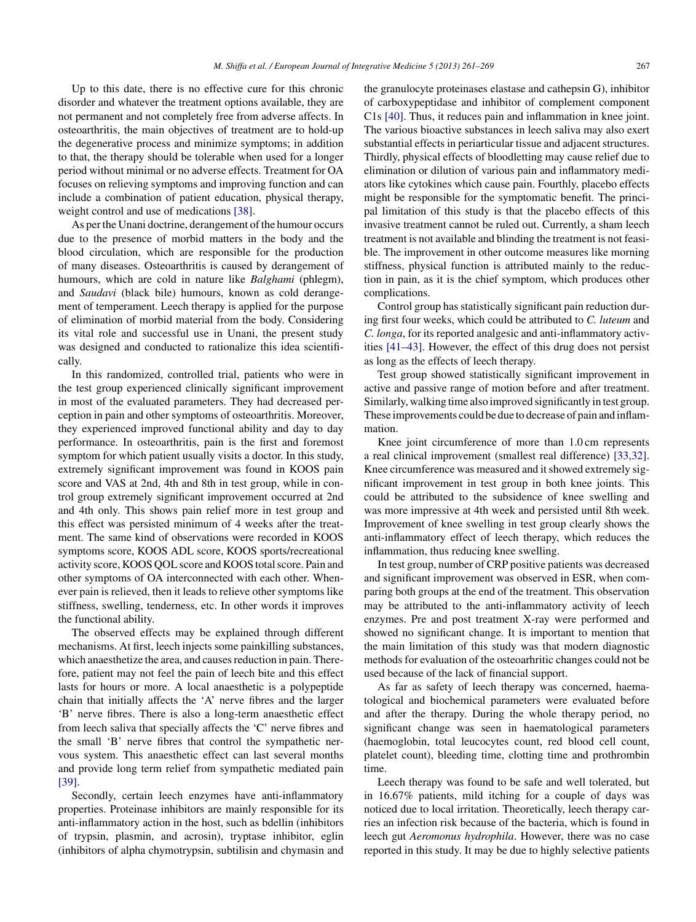Up to this date, there is no effective cure for this chronic disorder and whatever the treatment options available, they are not permanent and not completely free from adverse affects. In osteoarthritis, the main objectives of treatment are to hold-up the degenerative process and minimize symptoms; in addition to that, the therapy should be tolerable when used for a longer period without minimal or no adverse effects. Treatment for OA focuses on relieving symptoms and improving function and can include a combination of patient education, physical therapy, weight control and use of medications [\[38\].](#page-8-0)

As per the Unani doctrine, derangement of the humour occurs due to the presence of morbid matters in the body and the blood circulation, which are responsible for the production of many diseases. Osteoarthritis is caused by derangement of humours, which are cold in nature like *Balghami* (phlegm), and *Saudavi* (black bile) humours, known as cold derangement of temperament. Leech therapy is applied for the purpose of elimination of morbid material from the body. Considering its vital role and successful use in Unani, the present study was designed and conducted to rationalize this idea scientifically.

In this randomized, controlled trial, patients who were in the test group experienced clinically significant improvement in most of the evaluated parameters. They had decreased perception in pain and other symptoms of osteoarthritis. Moreover, they experienced improved functional ability and day to day performance. In osteoarthritis, pain is the first and foremost symptom for which patient usually visits a doctor. In this study, extremely significant improvement was found in KOOS pain score and VAS at 2nd, 4th and 8th in test group, while in control group extremely significant improvement occurred at 2nd and 4th only. This shows pain relief more in test group and this effect was persisted minimum of 4 weeks after the treatment. The same kind of observations were recorded in KOOS symptoms score, KOOS ADL score, KOOS sports/recreational activity score, KOOS QOL score and KOOS total score. Pain and other symptoms of OA interconnected with each other. Whenever pain is relieved, then it leads to relieve other symptoms like stiffness, swelling, tenderness, etc. In other words it improves the functional ability.

The observed effects may be explained through different mechanisms. At first, leech injects some painkilling substances, which anaesthetize the area, and causes reduction in pain. Therefore, patient may not feel the pain of leech bite and this effect lasts for hours or more. A local anaesthetic is a polypeptide chain that initially affects the 'A' nerve fibres and the larger 'B' nerve fibres. There is also a long-term anaesthetic effect from leech saliva that specially affects the 'C' nerve fibres and the small 'B' nerve fibres that control the sympathetic nervous system. This anaesthetic effect can last several months and provide long term relief from sympathetic mediated pain [\[39\].](#page-8-0)

Secondly, certain leech enzymes have anti-inflammatory properties. Proteinase inhibitors are mainly responsible for its anti-inflammatory action in the host, such as bdellin (inhibitors of trypsin, plasmin, and acrosin), tryptase inhibitor, eglin (inhibitors of alpha chymotrypsin, subtilisin and chymasin and the granulocyte proteinases elastase and cathepsin G), inhibitor of carboxypeptidase and inhibitor of complement component C1s [\[40\].](#page-8-0) Thus, it reduces pain and inflammation in knee joint. The various bioactive substances in leech saliva may also exert substantial effects in periarticular tissue and adjacent structures. Thirdly, physical effects of bloodletting may cause relief due to elimination or dilution of various pain and inflammatory mediators like cytokines which cause pain. Fourthly, placebo effects might be responsible for the symptomatic benefit. The principal limitation of this study is that the placebo effects of this invasive treatment cannot be ruled out. Currently, a sham leech treatment is not available and blinding the treatment is not feasible. The improvement in other outcome measures like morning stiffness, physical function is attributed mainly to the reduction in pain, as it is the chief symptom, which produces other complications.

Control group has statistically significant pain reduction during first four weeks, which could be attributed to *C. luteum* and *C. longa*, for its reported analgesic and anti-inflammatory activities [\[41–43\].](#page-8-0) However, the effect of this drug does not persist as long as the effects of leech therapy.

Test group showed statistically significant improvement in active and passive range of motion before and after treatment. Similarly, walking time also improved significantly in test group. These improvements could be due to decrease of pain and inflammation.

Knee joint circumference of more than 1.0 cm represents a real clinical improvement (smallest real difference) [\[33,32\].](#page-7-0) Knee circumference was measured and it showed extremely significant improvement in test group in both knee joints. This could be attributed to the subsidence of knee swelling and was more impressive at 4th week and persisted until 8th week. Improvement of knee swelling in test group clearly shows the anti-inflammatory effect of leech therapy, which reduces the inflammation, thus reducing knee swelling.

In test group, number of CRP positive patients was decreased and significant improvement was observed in ESR, when comparing both groups at the end of the treatment. This observation may be attributed to the anti-inflammatory activity of leech enzymes. Pre and post treatment X-ray were performed and showed no significant change. It is important to mention that the main limitation of this study was that modern diagnostic methods for evaluation of the osteoarhritic changes could not be used because of the lack of financial support.

As far as safety of leech therapy was concerned, haematological and biochemical parameters were evaluated before and after the therapy. During the whole therapy period, no significant change was seen in haematological parameters (haemoglobin, total leucocytes count, red blood cell count, platelet count), bleeding time, clotting time and prothrombin time.

Leech therapy was found to be safe and well tolerated, but in 16.67% patients, mild itching for a couple of days was noticed due to local irritation. Theoretically, leech therapy carries an infection risk because of the bacteria, which is found in leech gut *Aeromonus hydrophila*. However, there was no case reported in this study. It may be due to highly selective patients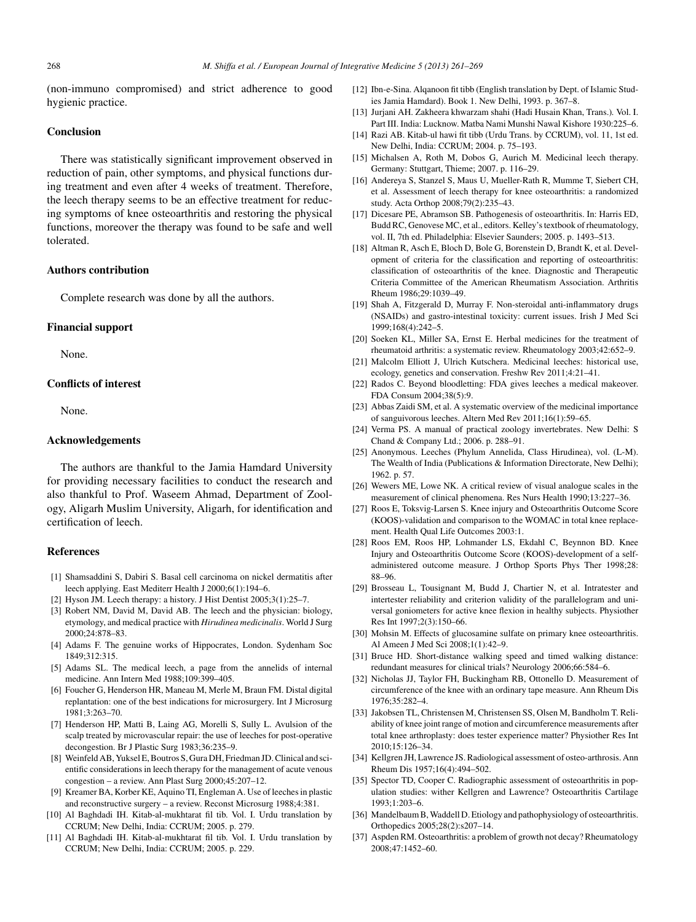<span id="page-7-0"></span>(non-immuno compromised) and strict adherence to good hygienic practice.

# **Conclusion**

There was statistically significant improvement observed in reduction of pain, other symptoms, and physical functions during treatment and even after 4 weeks of treatment. Therefore, the leech therapy seems to be an effective treatment for reducing symptoms of knee osteoarthritis and restoring the physical functions, moreover the therapy was found to be safe and well tolerated.

# **Authors contribution**

Complete research was done by all the authors.

# **Financial support**

None.

# **Conflicts of interest**

None.

# **Acknowledgements**

The authors are thankful to the Jamia Hamdard University for providing necessary facilities to conduct the research and also thankful to Prof. Waseem Ahmad, Department of Zoology, Aligarh Muslim University, Aligarh, for identification and certification of leech.

# **References**

- [1] Shamsaddini S, Dabiri S. Basal cell carcinoma on nickel dermatitis after leech applying. East Mediterr Health J 2000;6(1):194–6.
- [2] Hyson JM. Leech therapy: a history. J Hist Dentist 2005;3(1):25–7.
- [3] Robert NM, David M, David AB. The leech and the physician: biology, etymology, and medical practice with *Hirudinea medicinalis*. World J Surg 2000;24:878–83.
- [4] Adams F. The genuine works of Hippocrates, London. Sydenham Soc 1849;312:315.
- [5] Adams SL. The medical leech, a page from the annelids of internal medicine. Ann Intern Med 1988;109:399–405.
- [6] Foucher G, Henderson HR, Maneau M, Merle M, Braun FM. Distal digital replantation: one of the best indications for microsurgery. Int J Microsurg 1981;3:263–70.
- [7] Henderson HP, Matti B, Laing AG, Morelli S, Sully L. Avulsion of the scalp treated by microvascular repair: the use of leeches for post-operative decongestion. Br J Plastic Surg 1983;36:235–9.
- [8] Weinfeld AB, Yuksel E, Boutros S, Gura DH, Friedman JD. Clinical and scientific considerations in leech therapy for the management of acute venous congestion – a review. Ann Plast Surg 2000;45:207–12.
- [9] Kreamer BA, Korber KE, Aquino TI, Engleman A. Use of leechesin plastic and reconstructive surgery – a review. Reconst Microsurg 1988;4:381.
- [10] Al Baghdadi IH. Kitab-al-mukhtarat fil tib. Vol. I. Urdu translation by CCRUM; New Delhi, India: CCRUM; 2005. p. 279.
- [11] Al Baghdadi IH. Kitab-al-mukhtarat fil tib. Vol. I. Urdu translation by CCRUM; New Delhi, India: CCRUM; 2005. p. 229.
- [12] Ibn-e-Sina. Alqanoon fit tibb (English translation by Dept. of Islamic Studies Jamia Hamdard). Book 1. New Delhi, 1993. p. 367–8.
- [13] Jurjani AH. Zakheera khwarzam shahi (Hadi Husain Khan, Trans.)*.* Vol. I. Part III. India: Lucknow. Matba Nami Munshi Nawal Kishore 1930:225–6.
- [14] Razi AB. Kitab-ul hawi fit tibb (Urdu Trans. by CCRUM), vol. 11, 1st ed. New Delhi, India: CCRUM; 2004. p. 75–193.
- [15] Michalsen A, Roth M, Dobos G, Aurich M. Medicinal leech therapy. Germany: Stuttgart, Thieme; 2007. p. 116–29.
- [16] Andereya S, Stanzel S, Maus U, Mueller-Rath R, Mumme T, Siebert CH, et al. Assessment of leech therapy for knee osteoarthritis: a randomized study. Acta Orthop 2008;79(2):235–43.
- [17] Dicesare PE, Abramson SB. Pathogenesis of osteoarthritis. In: Harris ED, Budd RC, Genovese MC, et al., editors. Kelley's textbook of rheumatology, vol. II, 7th ed. Philadelphia: Elsevier Saunders; 2005. p. 1493–513.
- [18] Altman R, Asch E, Bloch D, Bole G, Borenstein D, Brandt K, et al. Development of criteria for the classification and reporting of osteoarthritis: classification of osteoarthritis of the knee. Diagnostic and Therapeutic Criteria Committee of the American Rheumatism Association. Arthritis Rheum 1986;29:1039–49.
- [19] Shah A, Fitzgerald D, Murray F. Non-steroidal anti-inflammatory drugs (NSAIDs) and gastro-intestinal toxicity: current issues. Irish J Med Sci 1999;168(4):242–5.
- [20] Soeken KL, Miller SA, Ernst E. Herbal medicines for the treatment of rheumatoid arthritis: a systematic review. Rheumatology 2003;42:652–9.
- [21] Malcolm Elliott J, Ulrich Kutschera. Medicinal leeches: historical use, ecology, genetics and conservation. Freshw Rev 2011;4:21–41.
- [22] Rados C. Beyond bloodletting: FDA gives leeches a medical makeover. FDA Consum 2004;38(5):9.
- [23] Abbas Zaidi SM, et al. A systematic overview of the medicinal importance of sanguivorous leeches. Altern Med Rev 2011;16(1):59–65.
- [24] Verma PS. A manual of practical zoology invertebrates. New Delhi: S Chand & Company Ltd.; 2006. p. 288–91.
- [25] Anonymous. Leeches (Phylum Annelida, Class Hirudinea), vol. (L-M). The Wealth of India (Publications & Information Directorate, New Delhi); 1962. p. 57.
- [26] Wewers ME, Lowe NK. A critical review of visual analogue scales in the measurement of clinical phenomena. Res Nurs Health 1990;13:227–36.
- [27] Roos E, Toksvig-Larsen S. Knee injury and Osteoarthritis Outcome Score (KOOS)-validation and comparison to the WOMAC in total knee replacement. Health Qual Life Outcomes 2003:1.
- [28] Roos EM, Roos HP, Lohmander LS, Ekdahl C, Beynnon BD. Knee Injury and Osteoarthritis Outcome Score (KOOS)-development of a selfadministered outcome measure. J Orthop Sports Phys Ther 1998;28: 88–96.
- [29] Brosseau L, Tousignant M, Budd J, Chartier N, et al. Intratester and intertester reliability and criterion validity of the parallelogram and universal goniometers for active knee flexion in healthy subjects. Physiother Res Int 1997;2(3):150–66.
- [30] Mohsin M. Effects of glucosamine sulfate on primary knee osteoarthritis. Al Ameen J Med Sci 2008;1(1):42–9.
- [31] Bruce HD. Short-distance walking speed and timed walking distance: redundant measures for clinical trials? Neurology 2006;66:584–6.
- [32] Nicholas JJ, Taylor FH, Buckingham RB, Ottonello D. Measurement of circumference of the knee with an ordinary tape measure. Ann Rheum Dis 1976;35:282–4.
- [33] Jakobsen TL, Christensen M, Christensen SS, Olsen M, Bandholm T. Reliability of knee joint range of motion and circumference measurements after total knee arthroplasty: does tester experience matter? Physiother Res Int 2010;15:126–34.
- [34] Kellgren JH, Lawrence JS. Radiological assessment of osteo-arthrosis. Ann Rheum Dis 1957;16(4):494–502.
- [35] Spector TD, Cooper C. Radiographic assessment of osteoarthritis in population studies: wither Kellgren and Lawrence? Osteoarthritis Cartilage 1993;1:203–6.
- [36] Mandelbaum B, Waddell D. Etiology and pathophysiology of osteoarthritis. Orthopedics 2005;28(2):s207–14.
- [37] Aspden RM. Osteoarthritis: a problem of growth not decay? Rheumatology 2008;47:1452–60.